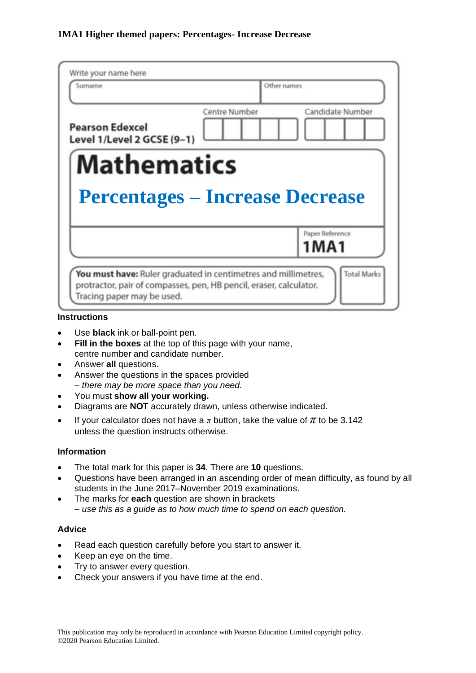| Sumame                                                       | Other names   |                         |  |
|--------------------------------------------------------------|---------------|-------------------------|--|
| <b>Pearson Edexcel</b><br>Level 1/Level 2 GCSE (9-1)         | Centre Number | Candidate Number        |  |
| <b>Mathematics</b><br><b>Percentages – Increase Decrease</b> |               |                         |  |
|                                                              |               |                         |  |
|                                                              |               | Paper Reference<br>1MA1 |  |

#### **Instructions**

- Use **black** ink or ball-point pen.
- **Fill in the boxes** at the top of this page with your name, centre number and candidate number.
- Answer **all** questions.
- Answer the questions in the spaces provided *– there may be more space than you need.*
- You must **show all your working.**
- Diagrams are **NOT** accurately drawn, unless otherwise indicated.
- If your calculator does not have a  $\pi$  button, take the value of  $\pi$  to be 3.142 unless the question instructs otherwise.

## **Information**

- The total mark for this paper is **34**. There are **10** questions.
- Questions have been arranged in an ascending order of mean difficulty, as found by all students in the June 2017–November 2019 examinations.
- The marks for **each** question are shown in brackets *– use this as a guide as to how much time to spend on each question.*

## **Advice**

- Read each question carefully before you start to answer it.
- Keep an eye on the time.
- Try to answer every question.
- Check your answers if you have time at the end.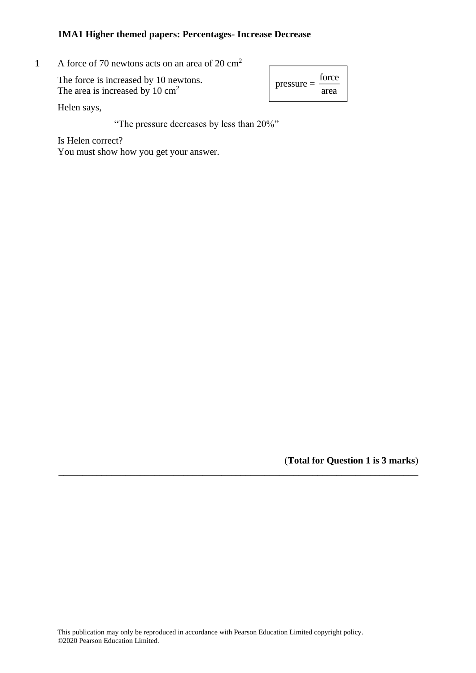**1** A force of 70 newtons acts on an area of 20 cm<sup>2</sup>  $\mathbf{F}$   $\mathbf{F}$   $\mathbf{F}$  force of 70 newtons acts on an area of

| The force is increased by 10 newtons.      | torce<br>$\vert$ pressure $=$ $\frac{\ }{\ }$ |
|--------------------------------------------|-----------------------------------------------|
| The area is increased by $10 \text{ cm}^2$ | area                                          |

| $pressure =$ | force |
|--------------|-------|
|              | area  |

Helen says,

"The pressure decreases by less than 20%"

Is Helen correct? You must show how you get your answer.  $\frac{1}{\sqrt{2}}$ 

(**Total for Question 1 is 3 marks**)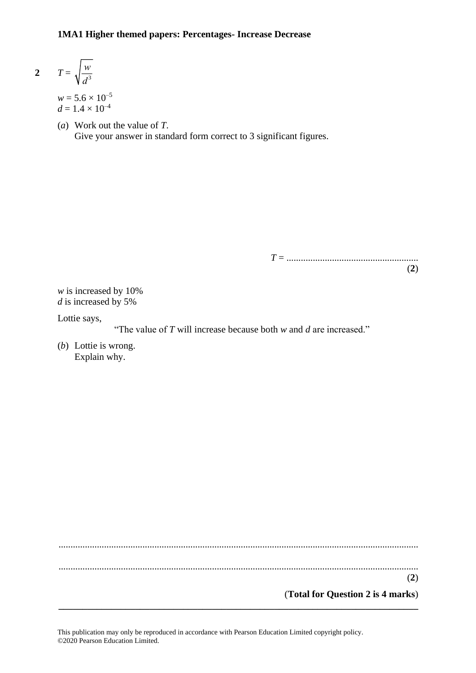$$
2 \qquad T = \sqrt{\frac{w}{d^3}}
$$

 $w = 5.6 \times 10^{-5}$  $d = 1.4 \times 10^{-4}$ 

(*a*) Work out the value of *T*. Give your answer in standard form correct to 3 significant figures.

> *T* = ....................................................... (**2**)

*w* is increased by 10% *d* is increased by 5%

Lottie says,

"The value of *T* will increase because both *w* and *d* are increased."

(*b*) Lottie is wrong. Explain why.

...................................................................................................................................................... ...................................................................................................................................................... (**2**) (**Total for Question 2 is 4 marks**)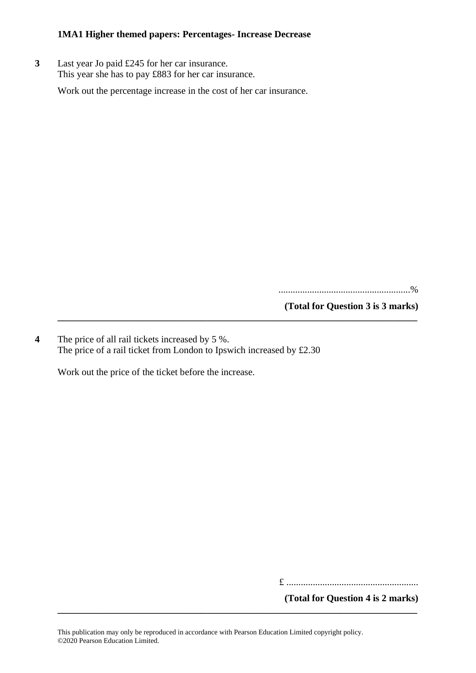**3** Last year Jo paid £245 for her car insurance. This year she has to pay £883 for her car insurance.

Work out the percentage increase in the cost of her car insurance.

.......................................................%

**(Total for Question 3 is 3 marks)**

**4** The price of all rail tickets increased by 5 %. The price of a rail ticket from London to Ipswich increased by £2.30

**\_\_\_\_\_\_\_\_\_\_\_\_\_\_\_\_\_\_\_\_\_\_\_\_\_\_\_\_\_\_\_\_\_\_\_\_\_\_\_\_\_\_\_\_\_\_\_\_\_\_\_\_\_\_\_\_\_\_\_\_\_\_\_\_\_\_\_\_\_\_\_\_\_\_\_**

Work out the price of the ticket before the increase.

£ .......................................................

**(Total for Question 4 is 2 marks)**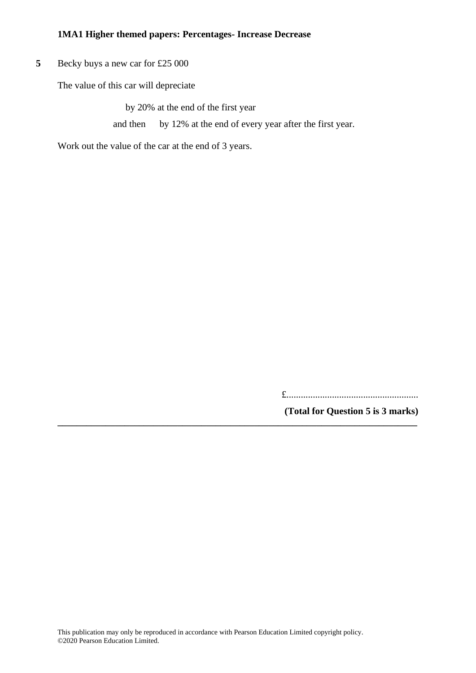**5** Becky buys a new car for £25 000

The value of this car will depreciate

by 20% at the end of the first year and then by 12% at the end of every year after the first year.

**\_\_\_\_\_\_\_\_\_\_\_\_\_\_\_\_\_\_\_\_\_\_\_\_\_\_\_\_\_\_\_\_\_\_\_\_\_\_\_\_\_\_\_\_\_\_\_\_\_\_\_\_\_\_\_\_\_\_\_\_\_\_\_\_\_\_\_\_\_\_\_\_\_\_\_**

Work out the value of the car at the end of 3 years.

£.......................................................

**(Total for Question 5 is 3 marks)**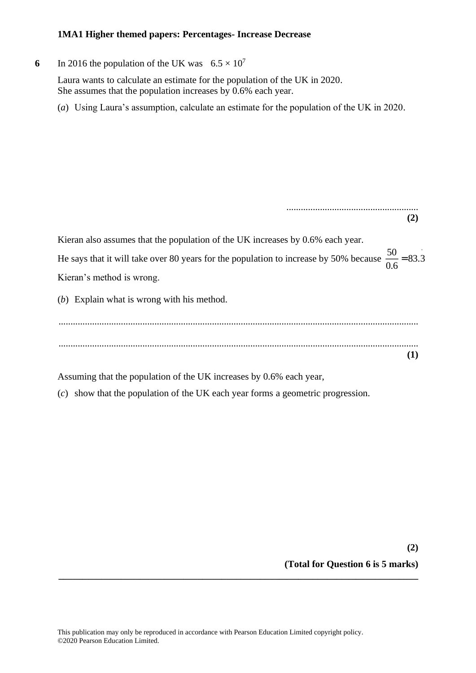**6** In 2016 the population of the UK was  $6.5 \times 10^7$ 

Laura wants to calculate an estimate for the population of the UK in 2020. She assumes that the population increases by 0.6% each year.

(*a*) Using Laura's assumption, calculate an estimate for the population of the UK in 2020.

| (2)                                                                                                                                                                                                                                                                                                                                                                                        |  |
|--------------------------------------------------------------------------------------------------------------------------------------------------------------------------------------------------------------------------------------------------------------------------------------------------------------------------------------------------------------------------------------------|--|
| Kieran also assumes that the population of the UK increases by 0.6% each year.                                                                                                                                                                                                                                                                                                             |  |
| He says that it will take over 80 years for the population to increase by 50% because $\frac{50}{0.6}$ = 83.3                                                                                                                                                                                                                                                                              |  |
| Kieran's method is wrong.                                                                                                                                                                                                                                                                                                                                                                  |  |
| $(b)$ Explain what is wrong with his method.                                                                                                                                                                                                                                                                                                                                               |  |
|                                                                                                                                                                                                                                                                                                                                                                                            |  |
|                                                                                                                                                                                                                                                                                                                                                                                            |  |
|                                                                                                                                                                                                                                                                                                                                                                                            |  |
| $\lambda$ , and $\lambda$ and $\lambda$ and $\lambda$ and $\lambda$ and $\lambda$ and $\lambda$ and $\lambda$ and $\lambda$ and $\lambda$ and $\lambda$ and $\lambda$ and $\lambda$ and $\lambda$ and $\lambda$ and $\lambda$ and $\lambda$ and $\lambda$ and $\lambda$ and $\lambda$ and $\lambda$ and $\lambda$ and $\lambda$ and $\lambda$ and $\lambda$<br>$\sim$ 1 $\sim$ 60 $\sim$ 1 |  |

Assuming that the population of the UK increases by 0.6% each year,

(*c*) show that the population of the UK each year forms a geometric progression.

**(2) (Total for Question 6 is 5 marks)**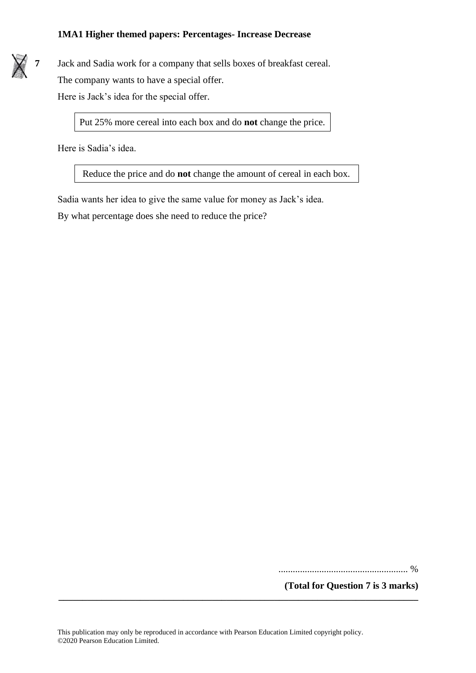

Put 25% more cereal into each box and do **not** change the price.

Here is Sadia's idea.

Reduce the price and do **not** change the amount of cereal in each box.

Sadia wants her idea to give the same value for money as Jack's idea.

By what percentage does she need to reduce the price?

...................................................... %

**(Total for Question 7 is 3 marks)**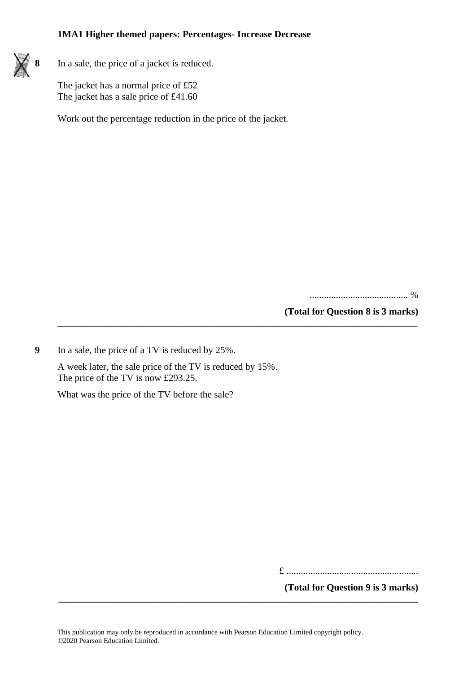

**8** In a sale, the price of a jacket is reduced.

The jacket has a normal price of £52 The jacket has a sale price of £41.60

Work out the percentage reduction in the price of the jacket.

......................................... %

**(Total for Question 8 is 3 marks)**

**9** In a sale, the price of a TV is reduced by 25%.

A week later, the sale price of the TV is reduced by 15%. The price of the TV is now £293.25.

**\_\_\_\_\_\_\_\_\_\_\_\_\_\_\_\_\_\_\_\_\_\_\_\_\_\_\_\_\_\_\_\_\_\_\_\_\_\_\_\_\_\_\_\_\_\_\_\_\_\_\_\_\_\_\_\_\_\_\_\_\_\_\_\_\_\_\_\_\_\_\_\_\_\_\_**

What was the price of the TV before the sale?

£ .......................................................

**(Total for Question 9 is 3 marks)**